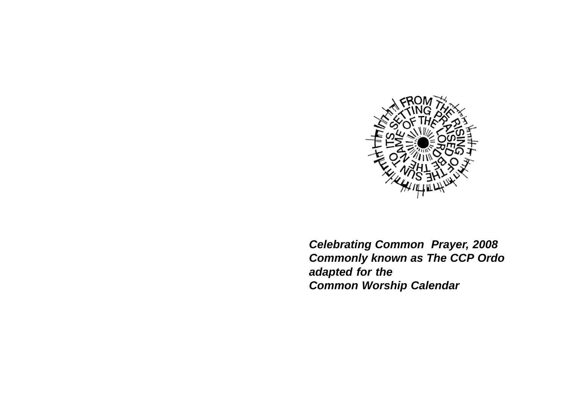

*Celebrating Common Prayer, 2008 Commonly known as The CCP Ordo adapted for the Common Worship Calendar*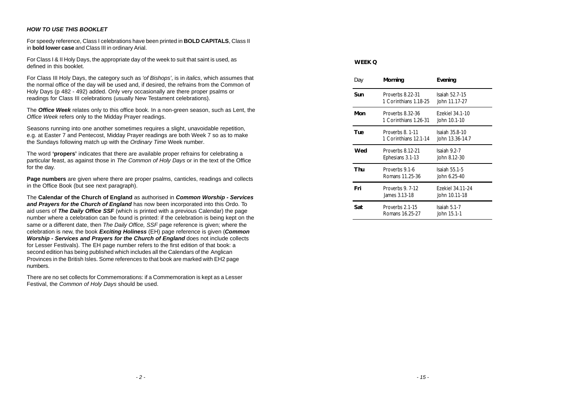# *HOW TO USE THIS BOOKLET*

For speedy reference, Class I celebrations have been printed in **BOLD CAPITALS**, Class II in **bold lower case** and Class III in ordinary Arial.

For Class I & II Holy Days, the appropriate day of the week to suit that saint is used, as defined in this booklet.

For Class III Holy Days, the category such as *'of Bishops'*, is in *italics*, which assumes that the normal office of the day will be used and, if desired, the refrains from the Common of Holy Days (p 482 - 492) added. Only very occasionally are there proper psalms or readings for Class III celebrations (usually New Testament celebrations).

The *Office Week* relates only to this office book. In a non-green season, such as Lent, the *Office Week* refers only to the Midday Prayer readings.

Seasons running into one another sometimes requires a slight, unavoidable repetition, e.g. at Easter 7 and Pentecost, Midday Prayer readings are both Week 7 so as to make the Sundays following match up with the *Ordinary Time* Week number.

The word **'propers'** indicates that there are available proper refrains for celebrating a particular feast, as against those in *The Common of Holy Days* or in the text of the Office for the day.

**Page numbers** are given where there are proper psalms, canticles, readings and collects in the Office Book (but see next paragraph).

The **Calendar of the Church of England** as authorised in *Common Worship - Services and Prayers for the Church of England* has now been incorporated into this Ordo. To aid users of *The Daily Office SSF* (which is printed with a previous Calendar) the page number where a celebration can be found is printed: if the celebration is being kept on the same or a different date, then *The Daily Office, SSF* page reference is given; where the celebration is new, the book *Exciting Holiness* (EH) page reference is given (*Common Worship - Services and Prayers for the Church of England* does not include collects for Lesser Festivals). The EH page number refers to the first edition of that book: a second edition has being published which includes all the Calendars of the Anglican Provinces in the British Isles. Some references to that book are marked with EH2 page numbers.

There are no set collects for Commemorations: if a Commemoration is kept as a Lesser Festival, the *Common of Holy Days* should be used.

# **WEEK Q**

| Day | Morning                                   | Evening                              |
|-----|-------------------------------------------|--------------------------------------|
| Sun | Proverbs 8.22-31<br>1 Corinthians 1.18-25 | Isaiah 52.7-15<br>John 11.17-27      |
| Mon | Proverbs 8.32-36<br>1 Corinthians 1.26-31 | Ezekiel 34.1-10<br>John 10.1-10      |
| Tue | Proverbs 8, 1-11<br>1 Corinthians 12.1-14 | Isaiah 35.8-10<br>John 13.36-14.7    |
| Wed | Proverbs 8.12-21<br>Ephesians 3.1-13      | Isaiah 9.2-7<br>John 8.12-30         |
| Thu | Proverbs 9.1-6<br>Romans 11.25-36         | <b>Isaiah 55.1-5</b><br>John 6.25-40 |
| Fri | Proverbs 9. 7-12<br>James 3.13-18         | Ezekiel 34.11-24<br>John 10.11-18    |
| Sat | Proverbs 2.1-15<br>Romans 16.25-27        | Isaiah $5.1 - 7$<br>John 15.1-1      |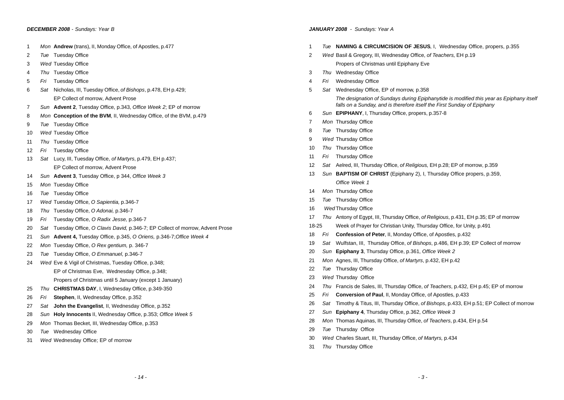- *Mon* **Andrew** (trans), II, Monday Office, of Apostles, p.477
- *Tue* Tuesday Office
- *Wed* Tuesday Office
- *Thu* Tuesday Office
- *Fri* Tuesday Office
- *Sat* Nicholas, III, Tuesday Office, *of Bishops*, p.478, EH p.429; EP Collect of morrow, Advent Prose
- *Sun* **Advent 2**, Tuesday Office, p.343, *Office Week 2*; EP of morrow
- *Mon* **Conception of the BVM**, II, Wednesday Office, of the BVM, p.479
- *Tue* Tuesday Office
- *Wed* Tuesday Office
- *Thu* Tuesday Office
- *Fri* Tuesday Office
- *Sat* Lucy, III, Tuesday Office, *of Martyrs*, p.479, EH p.437; EP Collect of morrow, Advent Prose
- *Sun* **Advent 3**, Tuesday Office, p 344, *Office Week 3*
- *Mon* Tuesday Office
- *Tue* Tuesday Office
- *Wed* Tuesday Office, *O Sapientia,* p.346-7
- *Thu* Tuesday Office, *O Adonai,* p.346-7
- *Fri* Tuesday Office, *O Radix Jesse,* p.346-7
- *Sat* Tuesday Office, *O Clavis David,* p.346-7; EP Collect of morrow, Advent Prose
- *Sun* **Advent 4,** Tuesday Office, p.345, *O Oriens,* p.346-7;*Office Week 4*
- *Mon* Tuesday Office, *O Rex gentium,* p. 346-7
- *Tue* Tuesday Office, *O Emmanuel,* p.346-7
- *Wed* Eve & Vigil of Christmas, Tuesday Office, p.348;
	- EP of Christmas Eve, Wednesday Office, p.348;
	- Propers of Christmas until 5 January (except 1 January)
- *Thu* **CHRISTMAS DAY**, I, Wednesday Office, p.349-350
- *Fri* **Stephen**, II, Wednesday Office, p.352
- *Sat* **John the Evangelist**, II, Wednesday Office, p.352
- *Sun* **Holy Innocents** II, Wednesday Office, p.353; *Office Week 5*
- *Mon* Thomas Becket, III, Wednesday Office, p.353
- *Tue* Wednesday Office
- *Wed* Wednesday Office; EP of morrow

# *JANUARY 2008 - Sundays: Year A*

- *Tue* **NAMING & CIRCUMCISION OF JESUS**, I, Wednesday Office, propers, p.355
- *Wed* Basil & Gregory, III, Wednesday Office, *of Teachers,* EH p.19 Propers of Christmas until Epiphany Eve
- *Thu* Wednesday Office
- *Fri* Wednesday Office
- *Sat* Wednesday Office, EP of morrow, p.358
	- *The designation of Sundays during Epiphanytide is modified this year as Epiphany itself falls on a Sunday, and is therefore itself the First Sunday of Epiphany*
- *Sun* **EPIPHANY**, I, Thursday Office, propers, p.357-8
- *Mon* Thursday Office
- *Tue* Thursday Office
- *Wed* Thursday Office
- *Thu* Thursday Office
- *Fri* Thursday Office
- *Sat* Aelred, III, Thursday Office, *of Religious,* EH p.28; EP of morrow, p.359
- *Sun* **BAPTISM OF CHRIST** (Epiphany 2), I, Thursday Office propers, p.359, *Office Week 1*
- *Mon* Thursday Office
- *Tue* Thursday Office
- *Wed* Thursday Office
- *Thu* Antony of Egypt, III, Thursday Office, *of Religious*, p.431, EH p.35; EP of morrow
- 18-25 Week of Prayer for Christian Unity, Thursday Office, for Unity, p.491
- *Fri* **Confession of Peter**, II, Monday Office, of Apostles, p.432
- *Sat* Wulfstan, III, Thursday Office, *of Bishops*, p.486, EH p.39; EP Collect of morrow
- *Sun* **Epiphany 3**, Thursday Office, p.361, *Office Week 2*
- *Mon* Agnes, III, Thursday Office, *of Martyrs*, p.432, EH p.42
- *Tue* Thursday Office
- *Wed* Thursday Office
- *Thu* Francis de Sales, III, Thursday Office, *of Teachers*, p.432, EH p.45; EP of morrow
- *Fri* **Conversion of Paul**, II, Monday Office, of Apostles, p.433
- *Sat* Timothy & Titus, III, Thursday Office, *of Bishops*, p.433, EH p.51; EP Collect of morrow
- *Sun* **Epiphany 4**, Thursday Office, p.362, *Office Week 3*
- *Mon* Thomas Aquinas, III, Thursday Office, *of Teachers*, p.434, EH p.54
- *Tue* Thursday Office
- *Wed* Charles Stuart, III, Thursday Office, *of Martyrs,* p.434
- *Thu* Thursday Office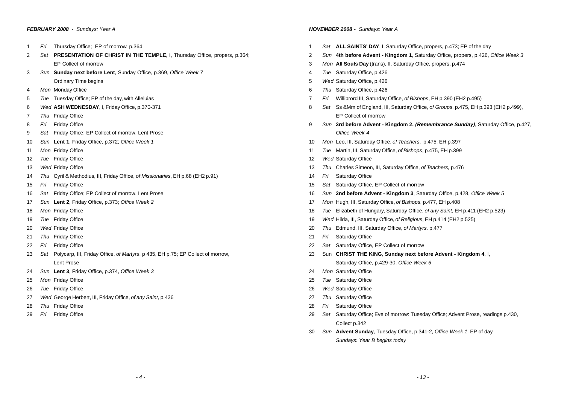#### *FEBRUARY 2008 - Sundays: Year A*

- *Fri* Thursday Office; EP of morrow, p.364
- *Sat* **PRESENTATION OF CHRIST IN THE TEMPLE**, I, Thursday Office, propers, p.364; EP Collect of morrow
- *Sun* **Sunday next before Lent**, Sunday Office, p.369, *Office Week 7* Ordinary Time begins
- *Mon* Monday Office
- *Tue* Tuesday Office; EP of the day, with Alleluias
- *Wed* **ASH WEDNESDAY**, I, Friday Office, p.370-371
- *Thu* Friday Office
- *Fri* Friday Office
- *Sat* Friday Office; EP Collect of morrow, Lent Prose
- *Sun* **Lent 1**, Friday Office, p.372; *Office Week 1*
- *Mon* Friday Office
- *Tue* Friday Office
- *Wed* Friday Office
- *Thu* Cyril & Methodius, III, Friday Office, *of Missionaries*, EH p.68 (EH2 p.91)
- *Fri* Friday Office
- *Sat* Friday Office; EP Collect of morrow, Lent Prose
- *Sun* **Lent 2**, Friday Office, p.373; *Office Week 2*
- *Mon* Friday Office
- *Tue* Friday Office
- *Wed* Friday Office
- *Thu* Friday Office
- *Fri* Friday Office
- *Sat* Polycarp, III, Friday Office, *of Martyrs*, p 435, EH p.75; EP Collect of morrow, Lent Prose
- *Sun* **Lent 3**, Friday Office, p.374, *Office Week 3*
- *Mon* Friday Office
- *Tue* Friday Office
- *Wed* George Herbert, III, Friday Office, *of any Saint,* p.436
- *Thu* Friday Office
- *Fri* Friday Office

# *NOVEMBER 2008 - Sundays: Year A*

- *Sat* **ALL SAINTS' DAY**, I, Saturday Office, propers, p.473; EP of the day
- *Sun* **4th before Advent Kingdom 1**, Saturday Office, propers, p.426, *Office Week 3*
- *Mon* **All Souls Day** (trans), II, Saturday Office, propers, p.474
- *Tue* Saturday Office, p.426
- *Wed* Saturday Office, p.426
- *Thu* Saturday Office, p.426
- *Fri* Willibrord III, Saturday Office, *of Bishops*, EH p.390 (EH2 p.495)
- *Sat* Ss &Mm of England, III, Saturday Office, *of Groups*, p.475, EH p.393 (EH2 p.499), EP Collect of morrow
- *Sun* **3rd before Advent Kingdom 2,** *(Remembrance Sunday)*, Saturday Office, p.427, *Office Week 4*
- *Mon* Leo, III, Saturday Office, *of Teachers*, p.475, EH p.397
- *Tue* Martin, III, Saturday Office, *of Bishops*, p.475, EH p.399
- *Wed* Saturday Office
- *Thu* Charles Simeon, III, Saturday Office, *of Teachers,* p.476
- *Fri* Saturday Office
- *Sat* Saturday Office, EP Collect of morrow
- *Sun* **2nd before Advent Kingdom 3**, Saturday Office, p.428, *Office Week 5*
- *Mon* Hugh, III, Saturday Office, *of Bishops*, p.477, EH p.408
- *Tue* Elizabeth of Hungary, Saturday Office, *of any Saint*, EH p.411 (EH2 p.523)
- *Wed* Hilda, III, Saturday Office, *of Religious*, EH p.414 (EH2 p.525)
- *Thu* Edmund, III, Saturday Office, *of Martyrs,* p.477
- *Fri* Saturday Office
- *Sat* Saturday Office, EP Collect of morrow
- Sun **CHRIST THE KING**, **Sunday next before Advent Kingdom 4**, I, Saturday Office, p.429-30, *Office Week 6*
- *Mon* Saturday Office
- *Tue* Saturday Office
- *Wed* Saturday Office
- *Thu* Saturday Office
- *Fri* Saturday Office
- *Sat* Saturday Office; Eve of morrow: Tuesday Office; Advent Prose, readings p.430, Collect p.342
- *Sun* **Advent Sunday**, Tuesday Office, p.341-2, *Office Week 1,* EP of day *Sundays: Year B begins today*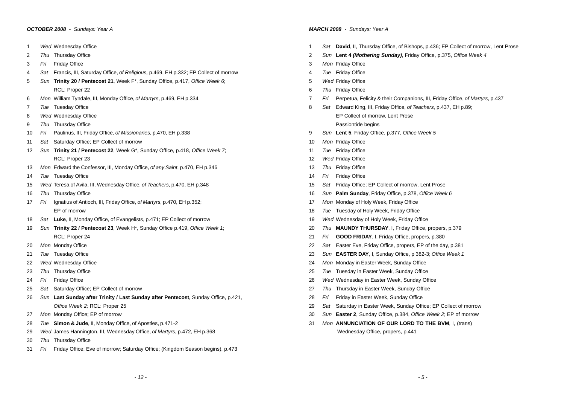# *OCTOBER 2008 - Sundays: Year A*

- *Wed* Wednesday Office
- *Thu* Thursday Office
- *Fri* Friday Office
- *Sat* Francis, III, Saturday Office, *of Religious,* p.469, EH p.332; EP Collect of morrow
- *Sun* **Trinity 20 / Pentecost 21**, Week F\*, Sunday Office, p.417, *Office Week 6*; RCL: Proper 22
- *Mon* William Tyndale, III, Monday Office, *of Martyrs*, p.469, EH p.334
- *Tue* Tuesday Office
- *Wed* Wednesday Office
- *Thu* Thursday Office
- *Fri* Paulinus, III, Friday Office, *of Missionaries*, p.470, EH p.338
- *Sat* Saturday Office; EP Collect of morrow
- *Sun* **Trinity 21 / Pentecost 22**, Week G\*, Sunday Office, p.418, *Office Week 7*; RCL: Proper 23
- *Mon* Edward the Confessor, III, Monday Office, *of any Saint*, p.470, EH p.346
- *Tue* Tuesday Office
- *Wed* Teresa of Avila, III, Wednesday Office, *of Teachers*, p.470, EH p.348
- *Thu* Thursday Office
- *Fri* Ignatius of Antioch, III, Friday Office, *of Martyrs*, p.470, EH p.352; EP of morrow
- *Sat* **Luke**, II, Monday Office, of Evangelists, p.471; EP Collect of morrow
- *Sun* **Trinity 22 / Pentecost 23**, Week H\*, Sunday Office p.419, *Office Week 1*; RCL: Proper 24
- *Mon* Monday Office
- *Tue* Tuesday Office
- *Wed* Wednesday Office
- *Thu* Thursday Office
- *Fri* Friday Office
- *Sat* Saturday Office; EP Collect of morrow
- *Sun* **Last Sunday after Trinity / Last Sunday after Pentecost**, Sunday Office, p.421, *Office Week 2;* RCL: Proper 25
- *Mon* Monday Office; EP of morrow
- *Tue* **Simon & Jude**, II, Monday Office, of Apostles, p.471-2
- *Wed* James Hannington, III, Wednesday Office, *of Martyrs*, p.472, EH p.368
- *Thu* Thursday Office
- *Fri* Friday Office; Eve of morrow; Saturday Office; (Kingdom Season begins), p.473

## *MARCH 2008 - Sundays: Year A*

- *Sat* **David**, II, Thursday Office, of Bishops, p.436; EP Collect of morrow, Lent Prose
- *Sun* **Lent 4** *(Mothering Sunday)*, Friday Office, p.375, *Office Week 4*
- *Mon* Friday Office
- *Tue* Friday Office
- *Wed* Friday Office
- *Thu* Friday Office
- *Fri* Perpetua, Felicity & their Companions, III, Friday Office, *of Martyrs*, p.437
- *Sat* Edward King, III, Friday Office, *of Teachers*, p.437, EH p.89; EP Collect of morrow, Lent Prose Passiontide begins
- *Sun* **Lent 5**, Friday Office, p.377, *Office Week 5*
- *Mon* Friday Office
- *Tue* Friday Office
- *Wed* Friday Office
- *Thu* Friday Office
- *Fri* Friday Office
- *Sat* Friday Office; EP Collect of morrow, Lent Prose
- *Sun* **Palm Sunday**, Friday Office, p.378, *Office Week 6*
- *Mon* Monday of Holy Week, Friday Office
- *Tue* Tuesday of Holy Week, Friday Office
- *Wed* Wednesday of Holy Week, Friday Office
- *Thu* **MAUNDY THURSDAY**, I, Friday Office, propers, p.379
- *Fri* **GOOD FRIDAY**, I, Friday Office, propers, p.380
- *Sat* Easter Eve, Friday Office, propers, EP of the day, p.381
- *Sun* **EASTER DAY**, I, Sunday Office, p 382-3; *Office Week 1*
- *Mon* Monday in Easter Week, Sunday Office
- *Tue* Tuesday in Easter Week, Sunday Office
- *Wed* Wednesday in Easter Week, Sunday Office
- *Thu* Thursday in Easter Week, Sunday Office
- *Fri* Friday in Easter Week, Sunday Office
- *Sat* Saturday in Easter Week, Sunday Office; EP Collect of morrow
- *Sun* **Easter 2**, Sunday Office, p.384, *Office Week 2*; EP of morrow
- *Mon* **ANNUNCIATION OF OUR LORD TO THE BVM**, I, (trans) Wednesday Office, propers, p.441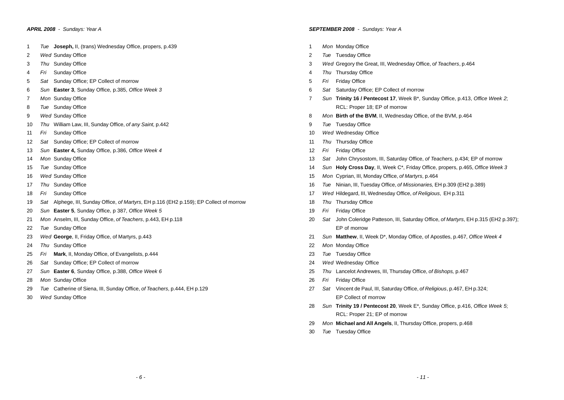- *Tue* **Joseph,** II, (trans) Wednesday Office, propers, p.439
- *Wed* Sunday Office
- *Thu* Sunday Office
- *Fri* Sunday Office
- *Sat* Sunday Office; EP Collect of morrow
- *Sun* **Easter 3**, Sunday Office, p.385, *Office Week 3*
- *Mon* Sunday Office
- *Tue* Sunday Office
- *Wed* Sunday Office
- *Thu* William Law, III, Sunday Office, *of any Saint,* p.442
- *Fri* Sunday Office
- *Sat* Sunday Office; EP Collect of morrow
- *Sun* **Easter 4,** Sunday Office, p.386, *Office Week 4*
- *Mon* Sunday Office
- *Tue* Sunday Office
- *Wed* Sunday Office
- *Thu* Sunday Office
- *Fri* Sunday Office
- *Sat* Alphege, III, Sunday Office, *of Martyrs*, EH p.116 (EH2 p.159); EP Collect of morrow
- *Sun* **Easter 5**, Sunday Office, p 387, *Office Week 5*
- *Mon* Anselm, III, Sunday Office, *of Teachers*, p.443, EH p.118
- *Tue* Sunday Office
- *Wed* **George**, II, Friday Office, of Martyrs, p.443
- *Thu* Sunday Office
- *Fri* **Mark**, II, Monday Office, of Evangelists, p.444
- *Sat* Sunday Office; EP Collect of morrow
- *Sun* **Easter 6**, Sunday Office, p.388, *Office Week 6*
- *Mon* Sunday Office
- *Tue* Catherine of Siena, III, Sunday Office, *of Teachers*, p.444, EH p.129
- *Wed* Sunday Office

# *SEPTEMBER 2008 - Sundays: Year A*

- *Mon* Monday Office
- *Tue* Tuesday Office
- *Wed* Gregory the Great, III, Wednesday Office, o*f Teachers*, p.464
- *Thu* Thursday Office
- *Fri* Friday Office
- *Sat* Saturday Office; EP Collect of morrow
- *Sun* **Trinity 16 / Pentecost 17**, Week B\*, Sunday Office, p.413, *Office Week 2*; RCL: Proper 18; EP of morrow
- *Mon* **Birth of the BVM**, II, Wednesday Office, of the BVM, p.464
- *Tue* Tuesday Office
- *Wed* Wednesday Office
- *Thu* Thursday Office
- *Fri* Friday Office
- *Sat* John Chrysostom, III, Saturday Office, *of Teachers*, p.434; EP of morrow
- *Sun* **Holy Cross Day**, II, Week C\*, Friday Office, propers, p.465, *Office Week 3*
- *Mon* Cyprian, III, Monday Office, *of Martyrs*, p.464
- *Tue* Ninian, III, Tuesday Office, *of Missionaries,* EH p.309 (EH2 p.389)
- *Wed* Hildegard, III, Wednesday Office, *of Religious*, EH p.311
- *Thu* Thursday Office
- *Fri* Friday Office
- *Sat* John Coleridge Patteson, III, Saturday Office, *of Martyrs*, EH p.315 (EH2 p.397); EP of morrow
- *Sun* **Matthew**, II, Week D\*, Monday Office, of Apostles, p.467, *Office Week 4*
- *Mon* Monday Office
- *Tue* Tuesday Office
- *Wed* Wednesday Office
- *Thu* Lancelot Andrewes, III, Thursday Office, *of Bishops,* p.467
- *Fri* Friday Office
- *Sat* Vincent de Paul, III, Saturday Office, *of Religious*, p.467, EH p.324; EP Collect of morrow
- *Sun* **Trinity 19 / Pentecost 20**, Week E\*, Sunday Office, p.416, *Office Week 5*; RCL: Proper 21; EP of morrow
- *Mon* **Michael and All Angels**, II, Thursday Office, propers, p.468
- *Tue* Tuesday Office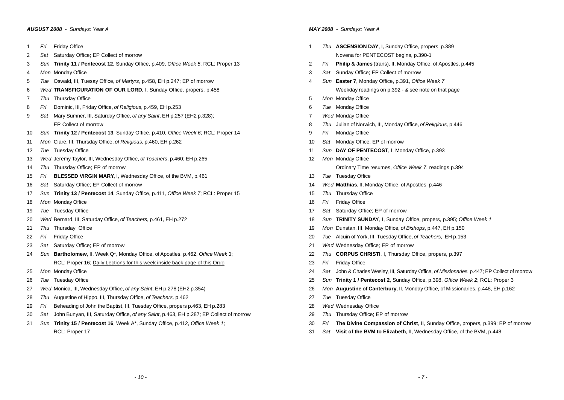# *AUGUST 2008 - Sundays: Year A*

- *Fri* Friday Office
- *Sat* Saturday Office; EP Collect of morrow
- *Sun* **Trinity 11 / Pentecost 12**, Sunday Office, p.409, *Office Week 5*; RCL: Proper 13
- *Mon* Monday Office
- *Tue* Oswald, III, Tuesay Office, *of Martyrs*, p.458, EH p.247; EP of morrow
- *Wed* **TRANSFIGURATION OF OUR LORD**, I, Sunday Office, propers, p.458
- *Thu* Thursday Office
- *Fri* Dominic, III, Friday Office, *of Religious*, p.459, EH p.253
- *Sat* Mary Sumner, III, Saturday Office, *of any Saint*, EH p.257 (EH2 p.328); EP Collect of morrow
- *Sun* **Trinity 12 / Pentecost 13**, Sunday Office, p.410, *Office Week 6*; RCL: Proper 14
- *Mon* Clare, III, Thursday Office, *of Religious*, p.460, EH p.262
- *Tue* Tuesday Office
- *Wed* Jeremy Taylor, III, Wednesday Office, *of Teachers*, p.460; EH p.265
- *Thu* Thursday Office; EP of morrow
- *Fri* **BLESSED VIRGIN MARY,** I, Wednesday Office, of the BVM, p.461
- *Sat* Saturday Office; EP Collect of morrow
- *Sun* **Trinity 13 / Pentecost 14**, Sunday Office, p.411, *Office Week 7*; RCL: Proper 15
- *Mon* Monday Office
- *Tue* Tuesday Office
- *Wed* Bernard, III, Saturday Office, *of Teachers*, p.461, EH p.272
- *Thu* Thursday Office
- *Fri* Friday Office
- *Sat* Saturday Office; EP of morrow
- *Sun* **Bartholomew**, II, Week Q\*, Monday Office, of Apostles, p.462, *Office Week 3*; RCL: Proper 16; Daily Lections for this week inside back page of this Ordo
- *Mon* Monday Office
- *Tue* Tuesday Office
- *Wed* Monica, III, Wednesday Office, *of any Saint*, EH p.278 (EH2 p.354)
- *Thu* Augustine of Hippo, III, Thursday Office, *of Teachers,* p.462
- *Fri* Beheading of John the Baptist, III, Tuesday Office, propers p.463, EH p.283
- *Sat* John Bunyan, III, Saturday Office, *of any Saint*, p.463, EH p.287; EP Collect of morrow
- *Sun* **Trinity 15 / Pentecost 16**, Week A\*, Sunday Office, p.412, *Office Week 1*; RCL: Proper 17

# *MAY 2008 - Sundays: Year A*

- *Thu* **ASCENSION DAY**, I, Sunday Office, propers, p.389 Novena for PENTECOST begins, p.390-1
- *Fri* **Philip & James** (trans), II, Monday Office, of Apostles, p.445
- *Sat* Sunday Office; EP Collect of morrow
- *Sun* **Easter 7**, Monday Office, p.391, *Office Week 7* Weekday readings on p.392 - & see note on that page
- *Mon* Monday Office
- *Tue* Monday Office
- *Wed* Monday Office
- *Thu* Julian of Norwich, III, Monday Office, *of Religious,* p.446
- *Fri* Monday Office
- *Sat* Monday Office; EP of morrow
- *Sun* **DAY OF PENTECOST**, I, Monday Office, p.393
- *Mon* Monday Office
	- Ordinary Time resumes, *Office Week 7*, readings p.394
- *Tue* Tuesday Office
- *Wed* **Matthias**, II, Monday Office, of Apostles, p.446
- *Thu* Thursday Office
- *Fri* Friday Office
- *Sat* Saturday Office; EP of morrow
- *Sun* **TRINITY SUNDAY**, I, Sunday Office, propers, p.395; *Office Week 1*
- *Mon* Dunstan, III, Monday Office, *of Bishops*, p.447, EH p.150
- *Tue* Alcuin of York, III, Tuesday Office, *of Teachers*, EH p.153
- *Wed* Wednesday Office; EP of morrow
- *Thu* **CORPUS CHRISTI**, I, Thursday Office, propers, p.397
- *Fri* Friday Office
- *Sat* John & Charles Wesley, III, Saturday Office, *of Missionaries*, p.447; EP Collect of morrow
- *Sun* **Trinity 1 / Pentecost 2**, Sunday Office, p.398, *Office Week 2*; RCL: Proper 3
- *Mon* **Augustine of Canterbury**, II, Monday Office, of Missionaries, p.448, EH p.162
- *Tue* Tuesday Office
- *Wed* Wednesday Office
- *Thu* Thursday Office; EP of morrow
- *Fri* **The Divine Compassion of Christ**, II, Sunday Office, propers, p.399; EP of morrow
- *Sat* **Visit of the BVM to Elizabeth**, II, Wednesday Office, of the BVM, p.448